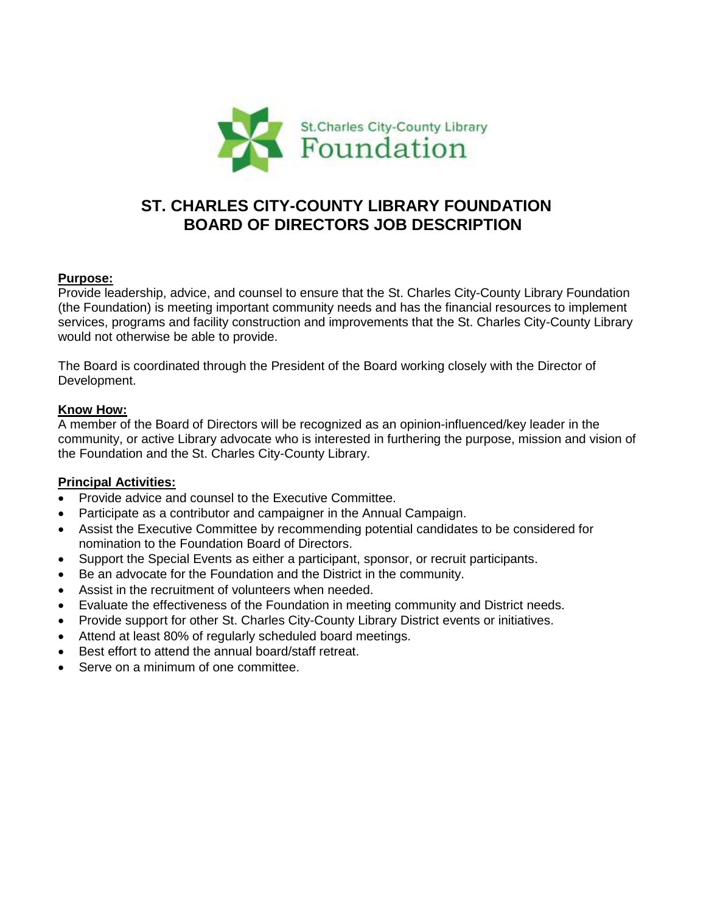

# **ST. CHARLES CITY-COUNTY LIBRARY FOUNDATION BOARD OF DIRECTORS JOB DESCRIPTION**

#### **Purpose:**

Provide leadership, advice, and counsel to ensure that the St. Charles City-County Library Foundation (the Foundation) is meeting important community needs and has the financial resources to implement services, programs and facility construction and improvements that the St. Charles City-County Library would not otherwise be able to provide.

The Board is coordinated through the President of the Board working closely with the Director of Development.

#### **Know How:**

A member of the Board of Directors will be recognized as an opinion-influenced/key leader in the community, or active Library advocate who is interested in furthering the purpose, mission and vision of the Foundation and the St. Charles City-County Library.

#### **Principal Activities:**

- Provide advice and counsel to the Executive Committee.
- Participate as a contributor and campaigner in the Annual Campaign.
- Assist the Executive Committee by recommending potential candidates to be considered for nomination to the Foundation Board of Directors.
- Support the Special Events as either a participant, sponsor, or recruit participants.
- Be an advocate for the Foundation and the District in the community.
- Assist in the recruitment of volunteers when needed.
- Evaluate the effectiveness of the Foundation in meeting community and District needs.
- Provide support for other St. Charles City-County Library District events or initiatives.
- Attend at least 80% of regularly scheduled board meetings.
- Best effort to attend the annual board/staff retreat.
- Serve on a minimum of one committee.